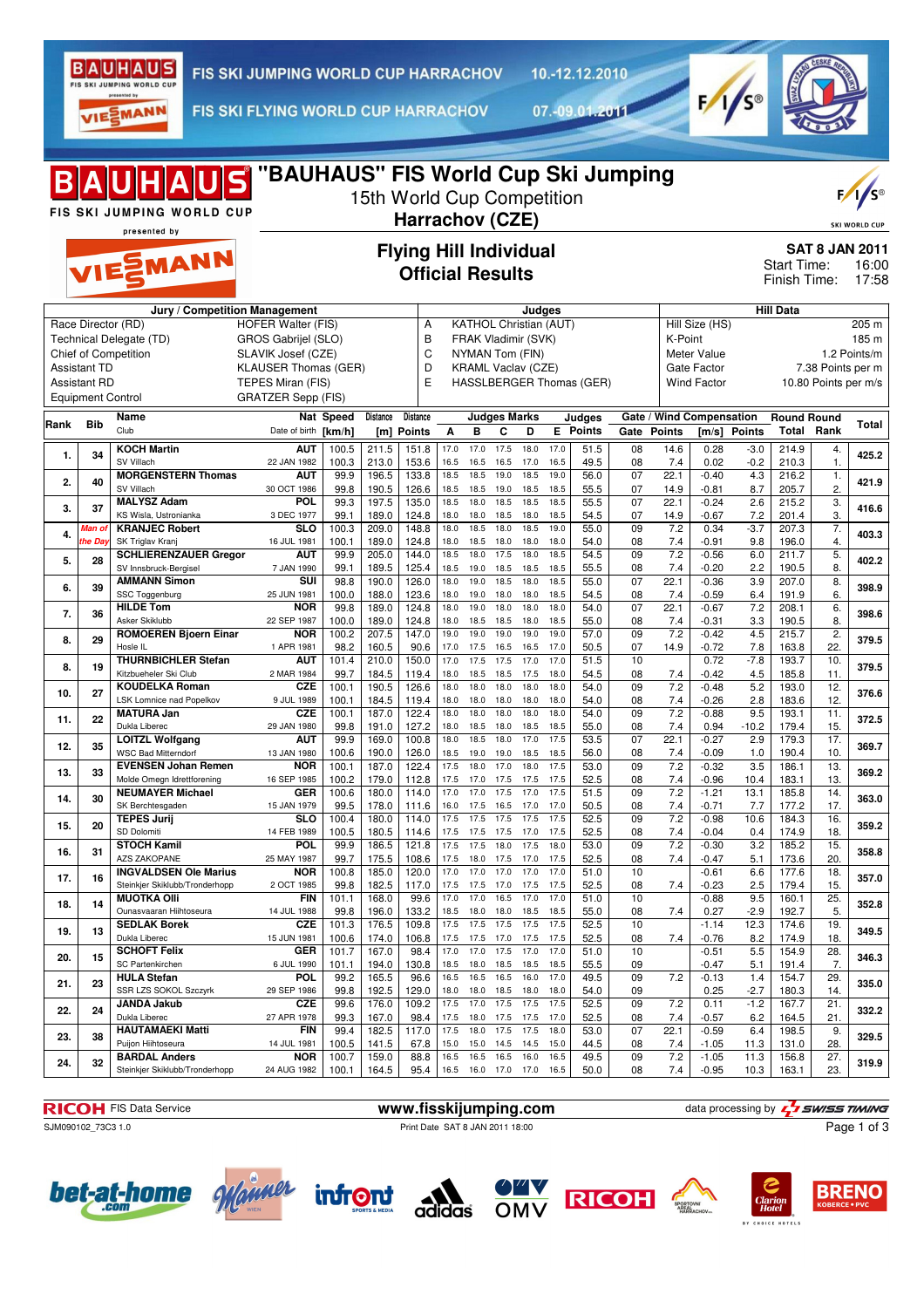

10.-12.12.2010

VIESMANN

FIS SKI FLYING WORLD CUP HARRACHOV

07.-09.01.2011



| "BAUHAUS" FIS World Cup Ski Jumping<br>BAUHAUS<br>15th World Cup Competition<br>FIS SKI JUMPING WORLD CUP<br>Harrachov (CZE)<br>presented by |                          |                                                      |                                                  |                |                 |                             |              |                                                      |                          |              |              |                                 |                                                                               |               | $F/I/S^{\circledcirc}$<br><b>SKI WORLD CUP</b> |                  |                    |                          |                |
|----------------------------------------------------------------------------------------------------------------------------------------------|--------------------------|------------------------------------------------------|--------------------------------------------------|----------------|-----------------|-----------------------------|--------------|------------------------------------------------------|--------------------------|--------------|--------------|---------------------------------|-------------------------------------------------------------------------------|---------------|------------------------------------------------|------------------|--------------------|--------------------------|----------------|
| <b>Flying Hill Individual</b><br>VIESMANN<br><b>Official Results</b><br>Jury / Competition Management<br>Judges                              |                          |                                                      |                                                  |                |                 |                             |              |                                                      |                          |              |              |                                 | <b>SAT 8 JAN 2011</b><br><b>Start Time:</b><br>16:00<br>Finish Time:<br>17:58 |               |                                                |                  |                    |                          |                |
|                                                                                                                                              |                          |                                                      |                                                  |                |                 |                             |              |                                                      |                          |              |              |                                 |                                                                               |               |                                                |                  | <b>Hill Data</b>   |                          |                |
|                                                                                                                                              | Race Director (RD)       | Technical Delegate (TD)                              | <b>HOFER Walter (FIS)</b><br>GROS Gabrijel (SLO) |                |                 | A<br>B                      |              | <b>KATHOL Christian (AUT)</b><br>FRAK Vladimir (SVK) |                          |              |              |                                 |                                                                               | K-Point       | Hill Size (HS)                                 |                  |                    |                          | 205 m<br>185 m |
|                                                                                                                                              |                          | Chief of Competition                                 | SLAVIK Josef (CZE)                               |                |                 |                             | C            | NYMAN Tom (FIN)                                      |                          |              |              |                                 |                                                                               |               | Meter Value                                    |                  |                    |                          | 1.2 Points/m   |
|                                                                                                                                              | <b>Assistant TD</b>      |                                                      | <b>KLAUSER Thomas (GER)</b>                      |                |                 |                             | D            | <b>KRAML Vaclav (CZE)</b>                            |                          |              |              |                                 |                                                                               |               | Gate Factor                                    |                  |                    | 7.38 Points per m        |                |
|                                                                                                                                              | <b>Assistant RD</b>      |                                                      | TEPES Miran (FIS)                                |                |                 | E                           |              |                                                      |                          |              |              | <b>HASSLBERGER Thomas (GER)</b> |                                                                               |               | <b>Wind Factor</b>                             |                  |                    | 10.80 Points per m/s     |                |
|                                                                                                                                              | <b>Equipment Control</b> |                                                      | <b>GRATZER Sepp (FIS)</b>                        |                |                 |                             |              |                                                      |                          |              |              |                                 |                                                                               |               |                                                |                  |                    |                          |                |
| Rank                                                                                                                                         | <b>Bib</b>               | Name<br>Club                                         | Date of birth [km/h]                             | Nat Speed      | Distance<br>[m] | <b>Distance</b><br>Points   | Α            | B                                                    | <b>Judges Marks</b><br>C | D            |              | Judges<br><b>E</b> Points       | Gate                                                                          | <b>Points</b> | Gate / Wind Compensation<br>[m/s]              | <b>Points</b>    | <b>Round Round</b> | <b>Total Rank</b>        | Total          |
|                                                                                                                                              |                          | <b>KOCH Martin</b>                                   | <b>AUT</b>                                       | 100.5          | 211.5           | 151.8                       | 17.0         | 17.0                                                 | 17.5                     | 18.0         | 17.0         | 51.5                            | 08                                                                            | 14.6          | 0.28                                           | $-3.0$           | 214.9              | 4.                       |                |
| 1.                                                                                                                                           | 34                       | SV Villach                                           | 22 JAN 1982                                      | 100.3          | 213.0           | 153.6                       | 16.5         | 16.5                                                 | 16.5                     | 17.0         | 16.5         | 49.5                            | 08                                                                            | 7.4           | 0.02                                           | $-0.2$           | 210.3              | 1.                       | 425.2          |
| 2.                                                                                                                                           | 40                       | <b>MORGENSTERN Thomas</b>                            | <b>AUT</b>                                       | 99.9           | 196.5           | 133.8                       | 18.5         | 18.5                                                 | 19.0                     | 18.5         | 19.0         | 56.0                            | 07                                                                            | 22.1          | $-0.40$                                        | 4.3              | 216.2              | 1.                       | 421.9          |
|                                                                                                                                              |                          | SV Villach<br><b>MALYSZ Adam</b>                     | 30 OCT 1986<br>POL                               | 99.8<br>99.3   | 190.5<br>197.5  | 126.6<br>135.0              | 18.5<br>18.5 | 18.5<br>18.0                                         | 19.0<br>18.5             | 18.5<br>18.5 | 18.5<br>18.5 | 55.5<br>55.5                    | 07<br>07                                                                      | 14.9<br>22.1  | $-0.81$<br>$-0.24$                             | 8.7<br>2.6       | 205.7<br>215.2     | 2.<br>3.                 |                |
| 3.                                                                                                                                           | 37                       | KS Wisla, Ustronianka                                | 3 DEC 1977                                       | 99.1           | 189.0           | 124.8                       | 18.0         | 18.0                                                 | 18.5                     | 18.0         | 18.5         | 54.5                            | 07                                                                            | 14.9          | $-0.67$                                        | 7.2              | 201.4              | 3.                       | 416.6          |
| 4.                                                                                                                                           | Man of                   | <b>KRANJEC Robert</b>                                | <b>SLO</b>                                       | 100.3          | 209.0           | 148.8                       | 18.0         | 18.5                                                 | 18.0                     | 18.5         | 19.0         | 55.0                            | 09                                                                            | 7.2           | 0.34                                           | $-3.7$           | 207.3              | 7.                       | 403.3          |
|                                                                                                                                              | he Day                   | SK Triglav Kranj<br><b>SCHLIERENZAUER Gregor</b>     | 16 JUL 1981<br><b>AUT</b>                        | 100.1<br>99.9  | 189.0<br>205.0  | 124.8<br>144.0              | 18.0<br>18.5 | 18.5<br>18.0                                         | 18.0<br>17.5             | 18.0<br>18.0 | 18.0<br>18.5 | 54.0<br>54.5                    | 08<br>09                                                                      | 7.4<br>7.2    | $-0.91$<br>$-0.56$                             | 9.8<br>6.0       | 196.0<br>211.7     | 4.<br>5.                 |                |
| 5.                                                                                                                                           | 28                       | SV Innsbruck-Bergisel                                | 7 JAN 1990                                       | 99.1           | 189.5           | 125.4                       | 18.5         | 19.0                                                 | 18.5                     | 18.5         | 18.5         | 55.5                            | 08                                                                            | 7.4           | $-0.20$                                        | 2.2              | 190.5              | 8.                       | 402.2          |
| 6.                                                                                                                                           | 39                       | <b>AMMANN Simon</b><br>SSC Toggenburg                | SUI                                              | 98.8           | 190.0           | 126.0                       | 18.0<br>18.0 | 19.0                                                 | 18.5                     | 18.0         | 18.5<br>18.5 | 55.0                            | 07                                                                            | 22.1          | $-0.36$                                        | 3.9              | 207.0              | 8.<br>6.                 | 398.9          |
|                                                                                                                                              |                          | <b>HILDE Tom</b>                                     | 25 JUN 1981<br><b>NOR</b>                        | 100.0<br>99.8  | 188.0<br>189.0  | 123.6<br>124.8              | 18.0         | 19.0<br>19.0                                         | 18.0<br>18.0             | 18.0<br>18.0 | 18.0         | 54.5<br>54.0                    | 08<br>07                                                                      | 7.4<br>22.1   | $-0.59$<br>$-0.67$                             | 6.4<br>7.2       | 191.9<br>208.1     | 6.                       |                |
| 7.                                                                                                                                           | 36                       | Asker Skiklubb                                       | 22 SEP 1987                                      | 100.0          | 189.0           | 124.8                       | 18.0         | 18.5                                                 | 18.5                     | 18.0         | 18.5         | 55.0                            | 08                                                                            | 7.4           | $-0.31$                                        | 3.3              | 190.5              | 8.                       | 398.6          |
| 8.                                                                                                                                           | 29                       | <b>ROMOEREN Bjoern Einar</b><br>Hosle IL             | <b>NOR</b><br>1 APR 1981                         | 100.2<br>98.2  | 207.5<br>160.5  | 147.0<br>90.6               | 19.0<br>17.0 | 19.0                                                 | 19.0                     | 19.0         | 19.0<br>17.0 | 57.0                            | 09<br>07                                                                      | 7.2<br>14.9   | $-0.42$<br>$-0.72$                             | 4.5<br>7.8       | 215.7<br>163.8     | 2.<br>22.                | 379.5          |
|                                                                                                                                              |                          | <b>THURNBICHLER Stefan</b>                           | <b>AUT</b>                                       | 101.4          | 210.0           | 150.0                       | 17.0         | 17.5<br>17.5                                         | 16.5<br>17.5             | 16.5<br>17.0 | 17.0         | 50.5<br>51.5                    | 10                                                                            |               | 0.72                                           | $-7.8$           | 193.7              | 10.                      |                |
| 8.                                                                                                                                           | 19                       | Kitzbueheler Ski Club                                | 2 MAR 1984                                       | 99.7           | 184.5           | 119.4                       | 18.0         | 18.5                                                 | 18.5                     | 17.5         | 18.0         | 54.5                            | 08                                                                            | 7.4           | $-0.42$                                        | 4.5              | 185.8              | 11.                      | 379.5          |
| 10.                                                                                                                                          | 27                       | <b>KOUDELKA Roman</b><br>LSK Lomnice nad Popelkov    | <b>CZE</b><br>9 JUL 1989                         | 100.1<br>100.1 | 190.5<br>184.5  | 126.6<br>119.4              | 18.0<br>18.0 | 18.0<br>18.0                                         | 18.0<br>18.0             | 18.0<br>18.0 | 18.0<br>18.0 | 54.0<br>54.0                    | 09<br>08                                                                      | 7.2<br>7.4    | $-0.48$<br>$-0.26$                             | 5.2<br>2.8       | 193.0<br>183.6     | 12.<br>12.               | 376.6          |
|                                                                                                                                              | 22                       | <b>MATURA Jan</b>                                    | <b>CZE</b>                                       | 100.1          | 187.0           | 122.4                       | 18.0         | 18.0                                                 | 18.0                     | 18.0         | 18.0         | 54.0                            | 09                                                                            | 7.2           | $-0.88$                                        | 9.5              | 193.1              | 11.                      |                |
| 11.                                                                                                                                          |                          | Dukla Liberec                                        | 29 JAN 1980                                      | 99.8           | 191.0           | 127.2                       | 18.0         | 18.5                                                 | 18.0                     | 18.5         | 18.5         | 55.0                            | 08                                                                            | 7.4           | 0.94                                           | $-10.2$          | 179.4              | 15.                      | 372.5          |
| 12.                                                                                                                                          | 35                       | <b>LOITZL Wolfgang</b><br><b>WSC Bad Mitterndorf</b> | <b>AUT</b><br>13 JAN 1980                        | 99.9<br>100.6  | 169.0<br>190.0  | $\overline{100.8}$<br>126.0 | 18.0<br>18.5 | 18.5<br>19.0                                         | 18.0<br>19.0             | 17.0<br>18.5 | 17.5<br>18.5 | 53.5<br>56.0                    | 07<br>08                                                                      | 22.1<br>7.4   | $-0.27$<br>$-0.09$                             | 2.9<br>1.0       | 179.3<br>190.4     | 17.<br>10.               | 369.7          |
| 13.                                                                                                                                          | 33                       | <b>EVENSEN Johan Remen</b>                           | <b>NOR</b>                                       | 100.1          | 187.0           | 122.4                       | 17.5         | 18.0                                                 | 17.0                     | 18.0         | 17.5         | 53.0                            | 09                                                                            | 7.2           | $-0.32$                                        | 3.5              | 186.1              | 13.                      | 369.2          |
|                                                                                                                                              |                          | Molde Omegn Idrettforening                           | 16 SEP 1985                                      | 100.2          | 179.0           | 112.8                       | 17.5         | 17.0                                                 | 17.5                     | 17.5         | 17.5         | 52.5                            | 08                                                                            | 7.4           | $-0.96$                                        | 10.4             | 183.1              | 13.                      |                |
| 14.                                                                                                                                          | 30                       | <b>NEUMAYER Michael</b><br>SK Berchtesgaden          | <b>GER</b><br>15 JAN 1979                        | 100.6<br>99.5  | 180.0<br>178.0  | 114.0<br>111.6              | 17.0<br>16.0 | 17.0<br>17.5                                         | 17.5<br>16.5             | 17.0<br>17.0 | 17.5<br>17.0 | 51.5<br>50.5                    | 09<br>08                                                                      | 7.2<br>7.4    | $-1.21$<br>$-0.71$                             | 13.1<br>7.7      | 185.8<br>177.2     | 14.<br>17.               | 363.0          |
| 15.                                                                                                                                          | 20                       | <b>TEPES Jurij</b>                                   | <b>SLO</b>                                       | 100.4          | 180.0           | 114.0                       | 17.5         | 17.5                                                 | 17.5                     | 17.5         | 17.5         | 52.5                            | 09                                                                            | 7.2           | $-0.98$                                        | 10.6             | 184.3              | 16.                      | 359.2          |
|                                                                                                                                              |                          | SD Dolomiti<br><b>STOCH Kamil</b>                    | 14 FEB 1989<br><b>POL</b>                        | 100.5<br>99.9  | 180.5<br>186.5  | 114.6<br>121.8              | 17.5<br>17.5 | 17.5 17.5 17.0<br>17.5                               | 18.0                     | 17.5         | 17.5<br>18.0 | 52.5<br>53.0                    | 08<br>09                                                                      | 7.4<br>7.2    | $-0.04$<br>$-0.30$                             | 0.4<br>3.2       | 174.9<br>185.2     | 18.<br>$\overline{15}$ . |                |
| 16.                                                                                                                                          | 31                       | AZS ZAKOPANE                                         | 25 MAY 1987                                      | 99.7           | 175.5           | 108.6                       |              | 17.5 18.0 17.5 17.0                                  |                          |              | 17.5         | 52.5                            | 08                                                                            | 7.4           | $-0.47$                                        | 5.1              | 173.6              | 20.                      | 358.8          |
| 17.                                                                                                                                          | 16                       | <b>INGVALDSEN Ole Marius</b>                         | NOR                                              | 100.8          | 185.0           | 120.0                       | 17.0         | 17.0                                                 | 17.0                     | 17.0         | 17.0         | 51.0                            | 10                                                                            |               | $-0.61$                                        | 6.6              | 177.6              | 18.                      | 357.0          |
|                                                                                                                                              |                          | Steinkjer Skiklubb/Tronderhopp<br><b>MUOTKA OIII</b> | 2 OCT 1985<br><b>FIN</b>                         | 99.8<br>101.1  | 182.5<br>168.0  | 117.0<br>99.6               | 17.5<br>17.0 | 17.5<br>17.0                                         | 17.0<br>16.5             | 17.5<br>17.0 | 17.5<br>17.0 | 52.5<br>51.0                    | 08<br>10                                                                      | 7.4           | $-0.23$<br>$-0.88$                             | 2.5<br>9.5       | 179.4<br>160.1     | 15.<br>25.               |                |
| 18.                                                                                                                                          | 14                       | Ounasvaaran Hiihtoseura                              | 14 JUL 1988                                      | 99.8           | 196.0           | 133.2                       | 18.5         | 18.0                                                 | 18.0                     | 18.5         | 18.5         | 55.0                            | 08                                                                            | 7.4           | 0.27                                           | $-2.9$           | 192.7              | 5.                       | 352.8          |
| 19.                                                                                                                                          | 13                       | <b>SEDLAK Borek</b>                                  | <b>CZE</b>                                       | 101.3          | 176.5           | 109.8                       | 17.5         | 17.5                                                 | 17.5                     | 17.5         | 17.5         | 52.5                            | 10                                                                            |               | $-1.14$                                        | 12.3             | 174.6              | 19.                      | 349.5          |
|                                                                                                                                              |                          | Dukla Liberec<br><b>SCHOFT Felix</b>                 | 15 JUN 1981<br><b>GER</b>                        | 100.6<br>101.7 | 174.0<br>167.0  | 106.8<br>98.4               | 17.5<br>17.0 | 17.5<br>17.0                                         | 17.0<br>17.5             | 17.5<br>17.0 | 17.5<br>17.0 | 52.5<br>51.0                    | 08<br>10                                                                      | 7.4           | $-0.76$<br>-0.51                               | 8.2<br>5.5       | 174.9<br>154.9     | 18.<br>28.               |                |
| 20.                                                                                                                                          | 15                       | SC Partenkirchen                                     | 6 JUL 1990                                       | 101.1          | 194.0           | 130.8                       | 18.5         | 18.0                                                 | 18.5 18.5                |              | 18.5         | 55.5                            | 09                                                                            |               | -0.47                                          | 5.1              | 191.4              | 7.                       | 346.3          |
| 21.                                                                                                                                          | 23                       | <b>HULA Stefan</b>                                   | <b>POL</b>                                       | 99.2           | 165.5           | 96.6                        | 16.5         | 16.5                                                 | 16.5                     | 16.0         | 17.0         | 49.5                            | 09                                                                            | 7.2           | $-0.13$                                        | 1.4              | 154.7              | 29.                      | 335.0          |
|                                                                                                                                              |                          | SSR LZS SOKOL Szczyrk<br><b>JANDA Jakub</b>          | 29 SEP 1986<br><b>CZE</b>                        | 99.8<br>99.6   | 192.5<br>176.0  | 129.0<br>109.2              | 18.0<br>17.5 | 18.0<br>17.0                                         | 18.5 18.0<br>17.5        | 17.5         | 18.0<br>17.5 | 54.0<br>52.5                    | 09<br>09                                                                      | 7.2           | 0.25<br>0.11                                   | $-2.7$<br>$-1.2$ | 180.3<br>167.7     | 14.<br>21.               |                |
| 22.                                                                                                                                          | 24                       | Dukla Liberec                                        | 27 APR 1978                                      | 99.3           | 167.0           | 98.4                        | 17.5         | 18.0                                                 | 17.5 17.5                |              | 17.0         | 52.5                            | 08                                                                            | 7.4           | $-0.57$                                        | 6.2              | 164.5              | 21.                      | 332.2          |
| 23.                                                                                                                                          | 38                       | <b>HAUTAMAEKI Matti</b><br>Puijon Hiihtoseura        | <b>FIN</b><br>14 JUL 1981                        | 99.4<br>100.5  | 182.5<br>141.5  | 117.0<br>67.8               | 17.5<br>15.0 | 18.0<br>15.0                                         | 17.5<br>14.5             | 17.5<br>14.5 | 18.0<br>15.0 | 53.0<br>44.5                    | 07<br>08                                                                      | 22.1<br>7.4   | $-0.59$<br>$-1.05$                             | 6.4<br>11.3      | 198.5<br>131.0     | 9.<br>28.                | 329.5          |
|                                                                                                                                              |                          | <b>BARDAL Anders</b>                                 | <b>NOR</b>                                       | 100.7          | 159.0           | 88.8                        | 16.5         | 16.5                                                 | 16.5                     | 16.0         | 16.5         | 49.5                            | 09                                                                            | 7.2           | $-1.05$                                        | 11.3             | 156.8              | 27.                      |                |
| 24.                                                                                                                                          | 32                       | Steinkjer Skiklubb/Tronderhopp                       | 24 AUG 1982                                      | 100.1          | 164.5           | 95.4                        | 16.5         | 16.0                                                 | 17.0                     | 17.0         | 16.5         | 50.0                            | 08                                                                            | 7.4           | $-0.95$                                        | 10.3             | 163.1              | 23.                      | 319.9          |

**RICOH** FIS Data Service **www.fisskijumping.com** data processing by  $\frac{7}{2}$  SWISS TIMING

SJM090102\_73C3 1.0 Print Date SAT 8 JAN 2011 18:00

Page 1 of 3











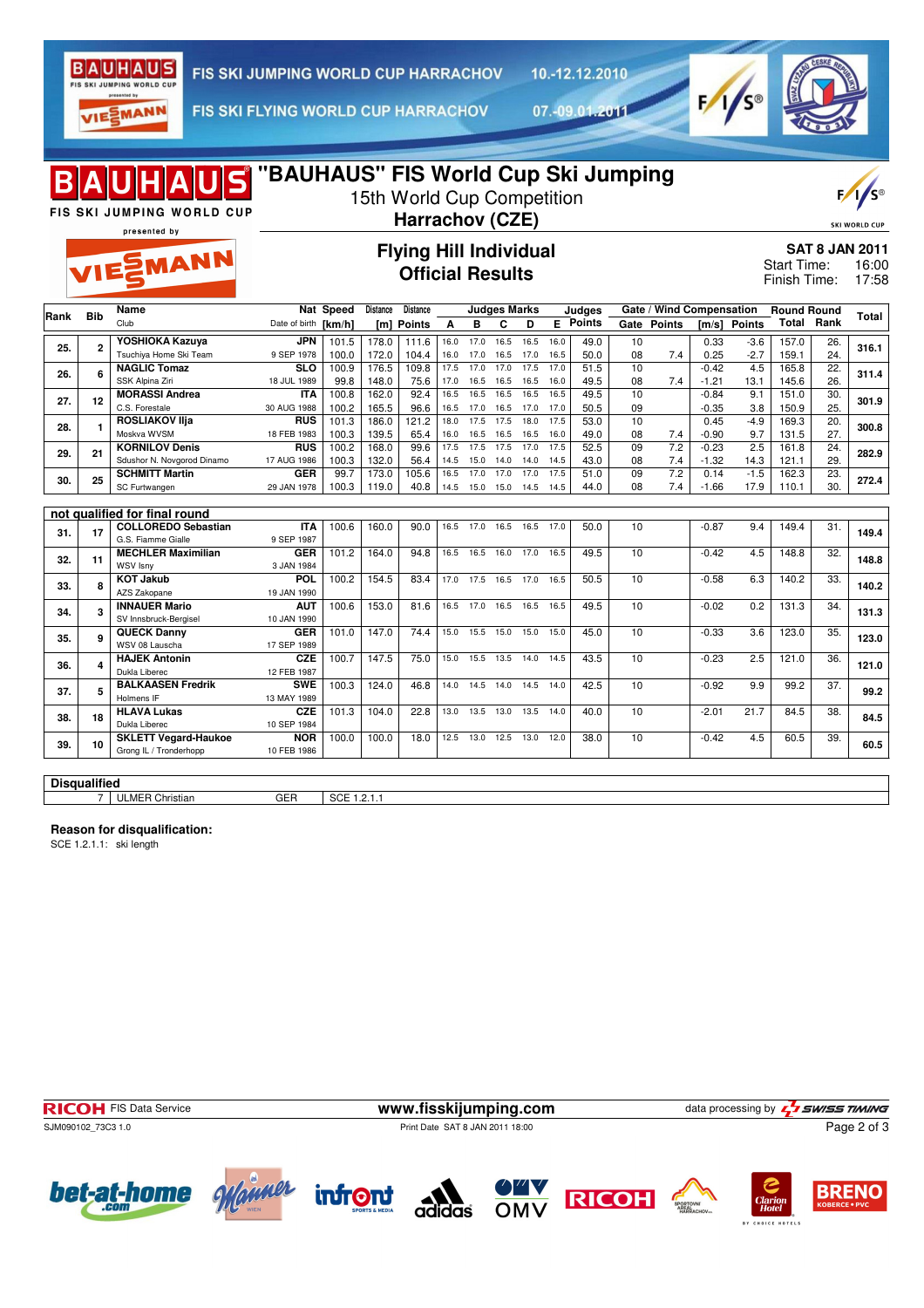

10.-12.12.2010

VIESMANN

FIS SKI FLYING WORLD CUP HARRACHOV

07.-09.01.2011



| "BAUHAUS" FIS World Cup Ski Jumping<br>JİS<br>15th World Cup Competition<br>FIS SKI JUMPING WORLD CUP<br>Harrachov (CZE)<br><b>SKI WORLD CUP</b><br>presented by |                                                              |                                                                                                                                                                                                                                                                                                                                                                             |                                                                                                                                                                                         |                                                                                                |                                                                                                                      |                                                                                           |                                                                              |                                                                                      |                                                                              |                                                                                                                                             |                                                                                                               |                                                                                                 |                                                                |                                                         |                                                                                                      |                                                                                                                  |                                                                                       |                                                                                                                                                               |
|------------------------------------------------------------------------------------------------------------------------------------------------------------------|--------------------------------------------------------------|-----------------------------------------------------------------------------------------------------------------------------------------------------------------------------------------------------------------------------------------------------------------------------------------------------------------------------------------------------------------------------|-----------------------------------------------------------------------------------------------------------------------------------------------------------------------------------------|------------------------------------------------------------------------------------------------|----------------------------------------------------------------------------------------------------------------------|-------------------------------------------------------------------------------------------|------------------------------------------------------------------------------|--------------------------------------------------------------------------------------|------------------------------------------------------------------------------|---------------------------------------------------------------------------------------------------------------------------------------------|---------------------------------------------------------------------------------------------------------------|-------------------------------------------------------------------------------------------------|----------------------------------------------------------------|---------------------------------------------------------|------------------------------------------------------------------------------------------------------|------------------------------------------------------------------------------------------------------------------|---------------------------------------------------------------------------------------|---------------------------------------------------------------------------------------------------------------------------------------------------------------|
|                                                                                                                                                                  |                                                              |                                                                                                                                                                                                                                                                                                                                                                             |                                                                                                                                                                                         |                                                                                                |                                                                                                                      |                                                                                           |                                                                              |                                                                                      |                                                                              |                                                                                                                                             |                                                                                                               |                                                                                                 |                                                                |                                                         |                                                                                                      |                                                                                                                  |                                                                                       | 16:00<br>17:58                                                                                                                                                |
|                                                                                                                                                                  | Name                                                         | Nat                                                                                                                                                                                                                                                                                                                                                                         | <b>Speed</b>                                                                                                                                                                            |                                                                                                | Distance                                                                                                             |                                                                                           |                                                                              |                                                                                      |                                                                              | Judges                                                                                                                                      |                                                                                                               |                                                                                                 |                                                                |                                                         |                                                                                                      | <b>Round Round</b>                                                                                               |                                                                                       |                                                                                                                                                               |
|                                                                                                                                                                  | Club                                                         | Date of birth                                                                                                                                                                                                                                                                                                                                                               |                                                                                                                                                                                         | [m]                                                                                            |                                                                                                                      | A                                                                                         | B                                                                            | C                                                                                    | D                                                                            |                                                                                                                                             |                                                                                                               | Gate                                                                                            |                                                                |                                                         | <b>Points</b>                                                                                        |                                                                                                                  |                                                                                       | Total                                                                                                                                                         |
| $\mathbf{2}$                                                                                                                                                     | YOSHIOKA Kazuya                                              | <b>JPN</b>                                                                                                                                                                                                                                                                                                                                                                  | 101.5                                                                                                                                                                                   | 178.0                                                                                          | 111.6                                                                                                                | 16.0                                                                                      | 17.0                                                                         | 16.5                                                                                 | 16.5                                                                         | 16.0                                                                                                                                        | 49.0                                                                                                          | 10                                                                                              |                                                                | 0.33                                                    | $-3.6$                                                                                               | 157.0                                                                                                            | 26.                                                                                   | 316.1                                                                                                                                                         |
|                                                                                                                                                                  |                                                              |                                                                                                                                                                                                                                                                                                                                                                             |                                                                                                                                                                                         |                                                                                                |                                                                                                                      |                                                                                           |                                                                              |                                                                                      |                                                                              |                                                                                                                                             |                                                                                                               |                                                                                                 |                                                                |                                                         |                                                                                                      |                                                                                                                  |                                                                                       |                                                                                                                                                               |
| 6                                                                                                                                                                |                                                              |                                                                                                                                                                                                                                                                                                                                                                             |                                                                                                                                                                                         |                                                                                                |                                                                                                                      |                                                                                           |                                                                              |                                                                                      |                                                                              |                                                                                                                                             |                                                                                                               |                                                                                                 |                                                                |                                                         |                                                                                                      |                                                                                                                  |                                                                                       | 311.4                                                                                                                                                         |
|                                                                                                                                                                  | <b>MORASSI Andrea</b>                                        | <b>ITA</b>                                                                                                                                                                                                                                                                                                                                                                  | 100.8                                                                                                                                                                                   | 162.0                                                                                          | 92.4                                                                                                                 | 16.5                                                                                      | 16.5                                                                         | 16.5                                                                                 | 16.5                                                                         | 16.5                                                                                                                                        | 49.5                                                                                                          | 10                                                                                              |                                                                | $-0.84$                                                 | 9.1                                                                                                  | 151.0                                                                                                            | 30.                                                                                   |                                                                                                                                                               |
|                                                                                                                                                                  | C.S. Forestale                                               | 30 AUG 1988                                                                                                                                                                                                                                                                                                                                                                 | 100.2                                                                                                                                                                                   |                                                                                                | 96.6                                                                                                                 | 16.5                                                                                      |                                                                              |                                                                                      |                                                                              | 17.0                                                                                                                                        | 50.5                                                                                                          | 09                                                                                              |                                                                | $-0.35$                                                 | 3.8                                                                                                  | 150.9                                                                                                            | 25.                                                                                   | 301.9                                                                                                                                                         |
| 1                                                                                                                                                                | <b>ROSLIAKOV IIia</b>                                        | <b>RUS</b>                                                                                                                                                                                                                                                                                                                                                                  | 101.3                                                                                                                                                                                   | 186.0                                                                                          | 121.2                                                                                                                | 18.0                                                                                      | 17.5                                                                         | 17.5                                                                                 | 18.0                                                                         | 17.5                                                                                                                                        | 53.0                                                                                                          | 10                                                                                              |                                                                | 0.45                                                    | $-4.9$                                                                                               | 169.3                                                                                                            | 20.                                                                                   | 300.8                                                                                                                                                         |
|                                                                                                                                                                  |                                                              |                                                                                                                                                                                                                                                                                                                                                                             |                                                                                                                                                                                         |                                                                                                |                                                                                                                      |                                                                                           |                                                                              |                                                                                      |                                                                              |                                                                                                                                             |                                                                                                               |                                                                                                 |                                                                |                                                         |                                                                                                      |                                                                                                                  |                                                                                       |                                                                                                                                                               |
| 21                                                                                                                                                               |                                                              |                                                                                                                                                                                                                                                                                                                                                                             |                                                                                                                                                                                         |                                                                                                |                                                                                                                      |                                                                                           |                                                                              |                                                                                      |                                                                              |                                                                                                                                             |                                                                                                               |                                                                                                 |                                                                |                                                         |                                                                                                      |                                                                                                                  |                                                                                       | 282.9                                                                                                                                                         |
| 30.                                                                                                                                                              |                                                              |                                                                                                                                                                                                                                                                                                                                                                             |                                                                                                                                                                                         |                                                                                                |                                                                                                                      |                                                                                           |                                                                              |                                                                                      |                                                                              |                                                                                                                                             |                                                                                                               |                                                                                                 |                                                                |                                                         |                                                                                                      |                                                                                                                  |                                                                                       |                                                                                                                                                               |
|                                                                                                                                                                  | SC Furtwangen                                                | 29 JAN 1978                                                                                                                                                                                                                                                                                                                                                                 | 100.3                                                                                                                                                                                   | 119.0                                                                                          | 40.8                                                                                                                 | 14.5                                                                                      | 15.0                                                                         | 15.0                                                                                 | 14.5                                                                         | 14.5                                                                                                                                        | 44.0                                                                                                          | 08                                                                                              | 7.4                                                            | $-1.66$                                                 | 17.9                                                                                                 | 110.1                                                                                                            | 30.                                                                                   | 272.4                                                                                                                                                         |
|                                                                                                                                                                  |                                                              |                                                                                                                                                                                                                                                                                                                                                                             |                                                                                                                                                                                         |                                                                                                |                                                                                                                      |                                                                                           |                                                                              |                                                                                      |                                                                              |                                                                                                                                             |                                                                                                               |                                                                                                 |                                                                |                                                         |                                                                                                      |                                                                                                                  |                                                                                       |                                                                                                                                                               |
|                                                                                                                                                                  |                                                              |                                                                                                                                                                                                                                                                                                                                                                             |                                                                                                                                                                                         |                                                                                                |                                                                                                                      |                                                                                           |                                                                              |                                                                                      |                                                                              |                                                                                                                                             |                                                                                                               |                                                                                                 |                                                                |                                                         |                                                                                                      |                                                                                                                  |                                                                                       |                                                                                                                                                               |
| 17                                                                                                                                                               |                                                              |                                                                                                                                                                                                                                                                                                                                                                             |                                                                                                                                                                                         |                                                                                                |                                                                                                                      |                                                                                           |                                                                              |                                                                                      |                                                                              |                                                                                                                                             |                                                                                                               |                                                                                                 |                                                                |                                                         |                                                                                                      |                                                                                                                  |                                                                                       | 149.4                                                                                                                                                         |
|                                                                                                                                                                  | <b>MECHLER Maximilian</b>                                    | <b>GER</b>                                                                                                                                                                                                                                                                                                                                                                  | 101.2                                                                                                                                                                                   | 164.0                                                                                          | 94.8                                                                                                                 | 16.5                                                                                      | 16.5                                                                         | 16.0                                                                                 | 17.0                                                                         | 16.5                                                                                                                                        | 49.5                                                                                                          | 10                                                                                              |                                                                | $-0.42$                                                 | 4.5                                                                                                  | 148.8                                                                                                            | 32.                                                                                   |                                                                                                                                                               |
|                                                                                                                                                                  | WSV Isny                                                     | 3 JAN 1984                                                                                                                                                                                                                                                                                                                                                                  |                                                                                                                                                                                         |                                                                                                |                                                                                                                      |                                                                                           |                                                                              |                                                                                      |                                                                              |                                                                                                                                             |                                                                                                               |                                                                                                 |                                                                |                                                         |                                                                                                      |                                                                                                                  |                                                                                       | 148.8                                                                                                                                                         |
|                                                                                                                                                                  | <b>KOT Jakub</b>                                             | POL                                                                                                                                                                                                                                                                                                                                                                         | 100.2                                                                                                                                                                                   | 154.5                                                                                          | 83.4                                                                                                                 | 17.0                                                                                      | 17.5                                                                         | 16.5                                                                                 | 17.0                                                                         | 16.5                                                                                                                                        | 50.5                                                                                                          | 10                                                                                              |                                                                | $-0.58$                                                 | 6.3                                                                                                  | 140.2                                                                                                            | 33.                                                                                   | 140.2                                                                                                                                                         |
|                                                                                                                                                                  | AZS Zakopane                                                 | 19 JAN 1990                                                                                                                                                                                                                                                                                                                                                                 |                                                                                                                                                                                         |                                                                                                |                                                                                                                      |                                                                                           |                                                                              |                                                                                      |                                                                              |                                                                                                                                             |                                                                                                               |                                                                                                 |                                                                |                                                         |                                                                                                      |                                                                                                                  |                                                                                       |                                                                                                                                                               |
| 3                                                                                                                                                                |                                                              | <b>AUT</b>                                                                                                                                                                                                                                                                                                                                                                  | 100.6                                                                                                                                                                                   |                                                                                                | 81.6                                                                                                                 | 16.5                                                                                      | 17.0                                                                         | 16.5                                                                                 | 16.5                                                                         | 16.5                                                                                                                                        | 49.5                                                                                                          |                                                                                                 |                                                                | $-0.02$                                                 | 0.2                                                                                                  | 131.3                                                                                                            |                                                                                       | 131.3                                                                                                                                                         |
|                                                                                                                                                                  |                                                              |                                                                                                                                                                                                                                                                                                                                                                             |                                                                                                                                                                                         |                                                                                                |                                                                                                                      |                                                                                           |                                                                              |                                                                                      |                                                                              |                                                                                                                                             |                                                                                                               |                                                                                                 |                                                                |                                                         |                                                                                                      |                                                                                                                  |                                                                                       |                                                                                                                                                               |
| 9                                                                                                                                                                | WSV 08 Lauscha                                               | 17 SEP 1989                                                                                                                                                                                                                                                                                                                                                                 |                                                                                                                                                                                         |                                                                                                |                                                                                                                      |                                                                                           |                                                                              |                                                                                      |                                                                              |                                                                                                                                             |                                                                                                               |                                                                                                 |                                                                |                                                         |                                                                                                      |                                                                                                                  |                                                                                       | 123.0                                                                                                                                                         |
|                                                                                                                                                                  | <b>HAJEK Antonin</b>                                         | <b>CZE</b>                                                                                                                                                                                                                                                                                                                                                                  | 100.7                                                                                                                                                                                   | 147.5                                                                                          | 75.0                                                                                                                 | 15.0                                                                                      | 15.5                                                                         | 13.5                                                                                 | 14.0                                                                         | 14.5                                                                                                                                        | 43.5                                                                                                          | 10                                                                                              |                                                                | $-0.23$                                                 | 2.5                                                                                                  | 121.0                                                                                                            | 36.                                                                                   |                                                                                                                                                               |
|                                                                                                                                                                  | Dukla Liberec                                                | 12 FEB 1987                                                                                                                                                                                                                                                                                                                                                                 |                                                                                                                                                                                         |                                                                                                |                                                                                                                      |                                                                                           |                                                                              |                                                                                      |                                                                              |                                                                                                                                             |                                                                                                               |                                                                                                 |                                                                |                                                         |                                                                                                      |                                                                                                                  |                                                                                       | 121.0                                                                                                                                                         |
| 5                                                                                                                                                                | <b>BALKAASEN Fredrik</b>                                     | <b>SWE</b>                                                                                                                                                                                                                                                                                                                                                                  | 100.3                                                                                                                                                                                   | 124.0                                                                                          | 46.8                                                                                                                 | 14.0                                                                                      | 14.5                                                                         | 14.0                                                                                 | 14.5                                                                         | 14.0                                                                                                                                        | 42.5                                                                                                          | 10                                                                                              |                                                                | $-0.92$                                                 | 9.9                                                                                                  | 99.2                                                                                                             | 37.                                                                                   | 99.2                                                                                                                                                          |
|                                                                                                                                                                  |                                                              |                                                                                                                                                                                                                                                                                                                                                                             |                                                                                                                                                                                         |                                                                                                |                                                                                                                      |                                                                                           |                                                                              |                                                                                      |                                                                              |                                                                                                                                             |                                                                                                               |                                                                                                 |                                                                |                                                         |                                                                                                      |                                                                                                                  |                                                                                       |                                                                                                                                                               |
| 18                                                                                                                                                               | Dukla Liberec                                                | 10 SEP 1984                                                                                                                                                                                                                                                                                                                                                                 |                                                                                                                                                                                         |                                                                                                |                                                                                                                      |                                                                                           |                                                                              |                                                                                      |                                                                              |                                                                                                                                             |                                                                                                               |                                                                                                 |                                                                |                                                         |                                                                                                      |                                                                                                                  |                                                                                       | 84.5                                                                                                                                                          |
|                                                                                                                                                                  |                                                              |                                                                                                                                                                                                                                                                                                                                                                             |                                                                                                                                                                                         |                                                                                                |                                                                                                                      |                                                                                           |                                                                              |                                                                                      |                                                                              |                                                                                                                                             |                                                                                                               |                                                                                                 |                                                                |                                                         |                                                                                                      |                                                                                                                  |                                                                                       |                                                                                                                                                               |
| 10                                                                                                                                                               | <b>SKLETT Vegard-Haukoe</b><br>Grong IL / Tronderhopp        | <b>NOR</b>                                                                                                                                                                                                                                                                                                                                                                  | 100.0                                                                                                                                                                                   | 100.0                                                                                          | 18.0                                                                                                                 | 12.5                                                                                      | 13.0                                                                         | 12.5 13.0                                                                            |                                                                              | 12.0                                                                                                                                        | 38.0                                                                                                          | 10                                                                                              |                                                                | $-0.42$                                                 | 4.5                                                                                                  | 60.5                                                                                                             | 39.                                                                                   | 60.5                                                                                                                                                          |
|                                                                                                                                                                  | <b>Bib</b><br>12<br>25<br>11<br>8<br>$\overline{\mathbf{4}}$ | VIESMANN<br>Tsuchiya Home Ski Team<br><b>NAGLIC Tomaz</b><br>SSK Alpina Ziri<br>Moskva WVSM<br><b>KORNILOV Denis</b><br>Sdushor N. Novgorod Dinamo<br><b>SCHMITT Martin</b><br>not qualified for final round<br><b>COLLOREDO Sebastian</b><br>G.S. Fiamme Gialle<br><b>INNAUER Mario</b><br>SV Innsbruck-Bergisel<br><b>QUECK Danny</b><br>Holmens IF<br><b>HLAVA Lukas</b> | 9 SEP 1978<br><b>SLO</b><br>18 JUL 1989<br>18 FEB 1983<br><b>RUS</b><br>17 AUG 1986<br><b>GER</b><br><b>ITA</b><br>9 SEP 1987<br>10 JAN 1990<br><b>GER</b><br>13 MAY 1989<br><b>CZE</b> | [km/h]<br>100.0<br>100.9<br>99.8<br>100.3<br>100.2<br>100.3<br>99.7<br>100.6<br>101.0<br>101.3 | Distance<br>172.0<br>176.5<br>148.0<br>165.5<br>139.5<br>168.0<br>132.0<br>173.0<br>160.0<br>153.0<br>147.0<br>104.0 | Points<br>104.4<br>109.8<br>75.6<br>65.4<br>99.6<br>56.4<br>105.6<br>90.0<br>74.4<br>22.8 | 16.0<br>17.5<br>17.0<br>16.0<br>17.5<br>14.5<br>16.5<br>16.5<br>15.0<br>13.0 | 17.0<br>17.0<br>16.5<br>17.0<br>16.5<br>17.5<br>15.0<br>17.0<br>17.0<br>15.5<br>13.5 | 16.5<br>17.0<br>16.5<br>16.5<br>17.5<br>14.0<br>17.0<br>16.5<br>15.0<br>13.0 | <b>Official Results</b><br><b>Judges Marks</b><br>17.0<br>17.5<br>16.5<br>16.5 17.0<br>16.5<br>17.0<br>14.0<br>17.0<br>16.5<br>15.0<br>13.5 | <b>Flying Hill Individual</b><br>16.5<br>17.0<br>16.0<br>16.0<br>17.5<br>14.5<br>17.5<br>17.0<br>15.0<br>14.0 | <b>E</b> Points<br>50.0<br>51.5<br>49.5<br>49.0<br>52.5<br>43.0<br>51.0<br>50.0<br>45.0<br>40.0 | 08<br>10<br>08<br>08<br>09<br>08<br>09<br>10<br>10<br>10<br>10 | <b>Points</b><br>7.4<br>7.4<br>7.4<br>7.2<br>7.4<br>7.2 | 0.25<br>$-0.42$<br>$-1.21$<br>$-0.90$<br>$-0.23$<br>$-1.32$<br>0.14<br>$-0.87$<br>$-0.33$<br>$-2.01$ | Gate / Wind Compensation<br>[m/s]<br>$-2.7$<br>4.5<br>13.1<br>9.7<br>2.5<br>14.3<br>$-1.5$<br>9.4<br>3.6<br>21.7 | 159.1<br>165.8<br>145.6<br>131.5<br>161.8<br>121.1<br>162.3<br>149.4<br>123.0<br>84.5 | <b>SAT 8 JAN 2011</b><br><b>Start Time:</b><br>Finish Time:<br><b>Total Rank</b><br>24.<br>22.<br>26.<br>27.<br>24.<br>29.<br>23.<br>31.<br>34.<br>35.<br>38. |

**Disqualified**

7 ULMER Christian GER SCE 1.2.1.1

## **Reason for disqualification:**

SCE 1.2.1.1: ski length

| <b>RICOH</b> FIS Data Service | www.fisskijumping.com           | data processing by LJ SWISS TIMING |
|-------------------------------|---------------------------------|------------------------------------|
| SJM090102 73C3 1.0            | Print Date SAT 8 JAN 2011 18:00 | Page 2 of 3                        |
|                               |                                 |                                    |